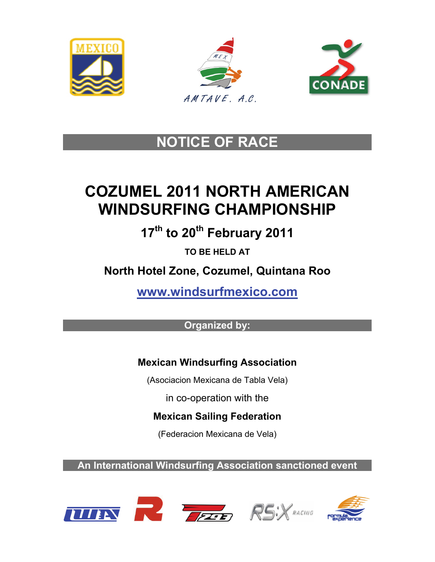





## **NOTICE OF RACE**

# **COZUMEL 2011 NORTH AMERICAN WINDSURFING CHAMPIONSHIP**

**17th to 20th February 2011** 

**TO BE HELD AT** 

**North Hotel Zone, Cozumel, Quintana Roo** 

**[www.windsurfmexico.com](http://www.windsurfmexico.com/)**

### **Organized by:**

## **Mexican Windsurfing Association**

(Asociacion Mexicana de Tabla Vela)

in co-operation with the

**Mexican Sailing Federation** 

(Federacion Mexicana de Vela)

**An International Windsurfing Association sanctioned event** 







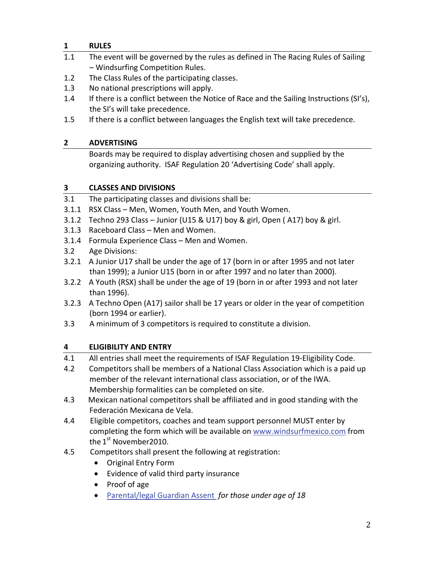#### **1 RULES**

- 1.1 The event will be governed by the rules as defined in The Racing Rules of Sailing – Windsurfing Competition Rules.
- 1.2 The Class Rules of the participating classes.
- 1.3 No national prescriptions will apply.
- 1.4 If there is a conflict between the Notice of Race and the Sailing Instructions (SI's), the SI's will take precedence.
- 1.5 If there is a conflict between languages the English text will take precedence.

#### **2 ADVERTISING**

Boards may be required to display advertising chosen and supplied by the organizing authority. ISAF Regulation 20 'Advertising Code' shall apply.

#### **3 CLASSES AND DIVISIONS**

- 3.1 The participating classes and divisions shall be:
- 3.1.1 RSX Class Men, Women, Youth Men, and Youth Women.
- 3.1.2 Techno 293 Class Junior (U15 & U17) boy & girl, Open ( A17) boy & girl.
- 3.1.3 Raceboard Class Men and Women.
- 3.1.4 Formula Experience Class Men and Women.
- 3.2 Age Divisions:
- 3.2.1 A Junior U17 shall be under the age of 17 (born in or after 1995 and not later than 1999); a Junior U15 (born in or after 1997 and no later than 2000).
- 3.2.2 A Youth (RSX) shall be under the age of 19 (born in or after 1993 and not later than 1996).
- 3.2.3 A Techno Open (A17) sailor shall be 17 years or older in the year of competition (born 1994 or earlier).
- 3.3 A minimum of 3 competitors is required to constitute a division.

#### **4 ELIGIBILITY AND ENTRY**

4.1 All entries shall meet the requirements of ISAF Regulation 19-Eligibility Code.

- 4.2 Competitors shall be members of a National Class Association which is a paid up member of the relevant international class association, or of the IWA. Membership formalities can be completed on site.
- 4.3 Mexican national competitors shall be affiliated and in good standing with the Federación Mexicana de Vela.
- 4.4 Eligible competitors, coaches and team support personnel MUST enter by completing the form which will be available on [www.windsurfmexico.com](http://www.windsurfmexico.com/) from the 1<sup>st</sup> November 2010.
- 4.5 Competitors shall present the following at registration:
	- Original Entry Form
	- Evidence of valid third party insurance
	- Proof of age
	- [Parental/legal](http://www.internationalwindsurfing.com/userfiles/documents/N_Americans_Cozumel_2011_Form_2.pdf) Guardian Assent *for those under age of 18*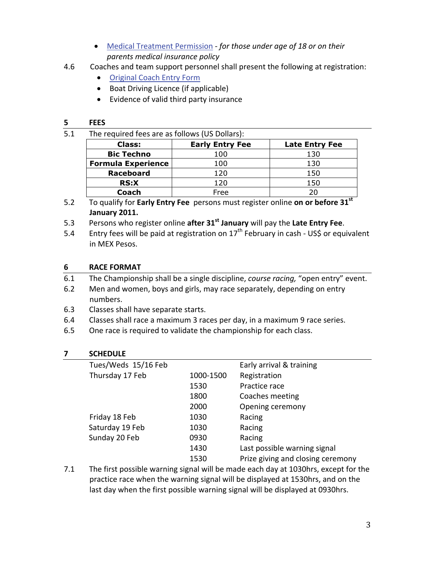- Medical Treatment [Permission](http://www.internationalwindsurfing.com/userfiles/documents/N_Americans_Cozumel_2011_Form_3.pdf) *‐ for those under age of 18 or on their parents medical insurance policy*
- 4.6 Coaches and team support personnel shall present the following at registration:
	- [Original](http://www.internationalwindsurfing.com/userfiles/documents/N_Americans_Cozumel_2011_Form_4.pdf) Coach Entry Form
	- Boat Driving Licence (if applicable)
	- Evidence of valid third party insurance

#### **5 FEES**

5.1 The required fees are as follows (US Dollars):

| Class:                    | <b>Early Entry Fee</b> | <b>Late Entry Fee</b> |
|---------------------------|------------------------|-----------------------|
| <b>Bic Techno</b>         | 100                    | 130                   |
| <b>Formula Experience</b> | 100                    | 130                   |
| <b>Raceboard</b>          | 120                    | 150                   |
| <b>RS:X</b>               | 120                    | 150                   |
| Coach                     | Free                   |                       |

- 5.2 To qualify for **Early Entry Fee** persons must register online **on or before 31st January 2011.**
- 5.3 Persons who register online **after 31st January** will pay the **Late Entry Fee**.
- 5.4 Entry fees will be paid at registration on  $17<sup>th</sup>$  February in cash US\$ or equivalent in MEX Pesos.

#### **6 RACE FORMAT**

- 6.1 The Championship shall be a single discipline, *course racing,* "open entry" event.
- 6.2 Men and women, boys and girls, may race separately, depending on entry numbers.
- 6.3 Classes shall have separate starts.
- 6.4 Classes shall race a maximum 3 races per day, in a maximum 9 race series.
- 6.5 One race is required to validate the championship for each class.

#### **7 SCHEDULE**

| Tues/Weds 15/16 Feb |           | Early arrival & training          |
|---------------------|-----------|-----------------------------------|
| Thursday 17 Feb     | 1000-1500 | Registration                      |
|                     | 1530      | Practice race                     |
|                     | 1800      | Coaches meeting                   |
|                     | 2000      | Opening ceremony                  |
| Friday 18 Feb       | 1030      | Racing                            |
| Saturday 19 Feb     | 1030      | Racing                            |
| Sunday 20 Feb       | 0930      | Racing                            |
|                     | 1430      | Last possible warning signal      |
|                     | 1530      | Prize giving and closing ceremony |
|                     |           |                                   |

7.1 The first possible warning signal will be made each day at 1030hrs, except for the practice race when the warning signal will be displayed at 1530hrs, and on the last day when the first possible warning signal will be displayed at 0930hrs.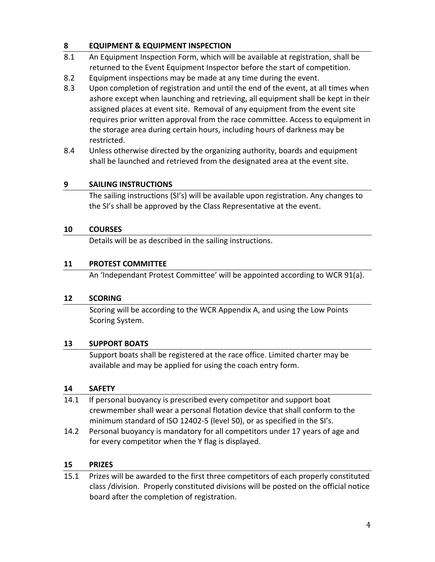#### **8 EQUIPMENT & EQUIPMENT INSPECTION**

- 8.1 An Equipment Inspection Form, which will be available at registration, shall be returned to the Event Equipment Inspector before the start of competition.
- 8.2 Equipment inspections may be made at any time during the event.
- 8.3 Upon completion of registration and until the end of the event, at all times when ashore except when launching and retrieving, all equipment shall be kept in their assigned places at event site. Removal of any equipment from the event site requires prior written approval from the race committee. Access to equipment in the storage area during certain hours, including hours of darkness may be restricted.
- 8.4 Unless otherwise directed by the organizing authority, boards and equipment shall be launched and retrieved from the designated area at the event site.

#### **9 SAILING INSTRUCTIONS**

The sailing instructions (SI's) will be available upon registration. Any changes to the SI's shall be approved by the Class Representative at the event.

#### **10 COURSES**

Details will be as described in the sailing instructions.

#### **11 PROTEST COMMITTEE**

An 'Independant Protest Committee' will be appointed according to WCR 91(a).

#### **12 SCORING**

Scoring will be according to the WCR Appendix A, and using the Low Points Scoring System.

#### **13 SUPPORT BOATS**

Support boats shall be registered at the race office. Limited charter may be available and may be applied for using the coach entry form.

#### **14 SAFETY**

- 14.1 If personal buoyancy is prescribed every competitor and support boat crewmember shall wear a personal flotation device that shall conform to the minimum standard of ISO 12402‐5 (level 50), or as specified in the SI's.
- 14.2 Personal buoyancy is mandatory for all competitors under 17 years of age and for every competitor when the Y flag is displayed.

#### **15 PRIZES**

15.1 Prizes will be awarded to the first three competitors of each properly constituted class /division. Properly constituted divisions will be posted on the official notice board after the completion of registration.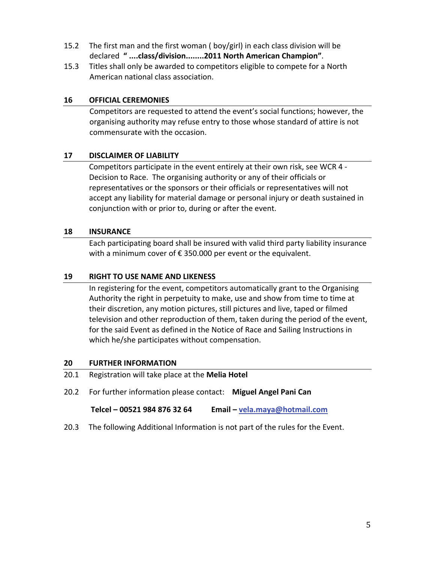- 15.2 The first man and the first woman ( boy/girl) in each class division will be declared **" ....class/division........2011 North American Champion"**.
- 15.3 Titles shall only be awarded to competitors eligible to compete for a North American national class association.

#### **16 OFFICIAL CEREMONIES**

Competitors are requested to attend the event's social functions; however, the organising authority may refuse entry to those whose standard of attire is not commensurate with the occasion.

#### **17 DISCLAIMER OF LIABILITY**

 Competitors participate in the event entirely at their own risk, see WCR 4 ‐ Decision to Race. The organising authority or any of their officials or representatives or the sponsors or their officials or representatives will not accept any liability for material damage or personal injury or death sustained in conjunction with or prior to, during or after the event.

#### **18 INSURANCE**

Each participating board shall be insured with valid third party liability insurance with a minimum cover of €350.000 per event or the equivalent.

#### **19 RIGHT TO USE NAME AND LIKENESS**

In registering for the event, competitors automatically grant to the Organising Authority the right in perpetuity to make, use and show from time to time at their discretion, any motion pictures, still pictures and live, taped or filmed television and other reproduction of them, taken during the period of the event, for the said Event as defined in the Notice of Race and Sailing Instructions in which he/she participates without compensation.

#### **20 FURTHER INFORMATION**

- 20.1 Registration will take place at the **Melia Hotel**
- 20.2 For further information please contact: **Miguel Angel Pani Can**

 **Telcel – 00521 984 876 32 64 Email – [vela.maya@hotmail.com](mailto:vela.maya@hotmail.com)**

20.3 The following Additional Information is not part of the rules for the Event.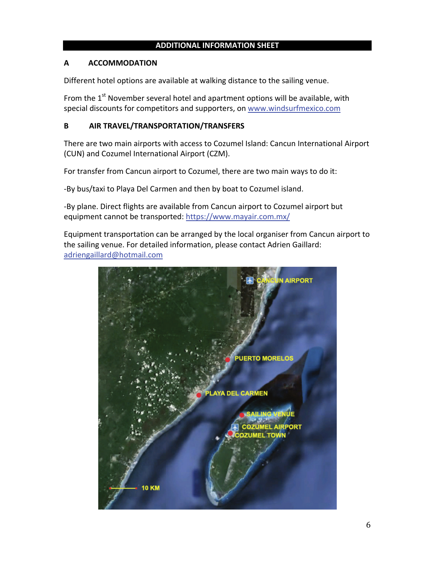#### **ADDITIONAL INFORMATION SHEET**

#### **A ACCOMMODATION**

Different hotel options are available at walking distance to the sailing venue.

From the  $1<sup>st</sup>$  November several hotel and apartment options will be available, with special discounts for competitors and supporters, on [www.windsurfmexico.com](http://www.windsurfmexico.com/)

#### **B AIR TRAVEL/TRANSPORTATION/TRANSFERS**

There are two main airports with access to Cozumel Island: Cancun International Airport (CUN) and Cozumel International Airport (CZM).

For transfer from Cancun airport to Cozumel, there are two main ways to do it:

‐By bus/taxi to Playa Del Carmen and then by boat to Cozumel island.

‐By plane. Direct flights are available from Cancun airport to Cozumel airport but equipment cannot be transported: <https://www.mayair.com.mx/>

Equipment transportation can be arranged by the local organiser from Cancun airport to the sailing venue. For detailed information, please contact Adrien Gaillard: [adriengaillard@hotmail.com](mailto:adriengaillard@hotmail.com)